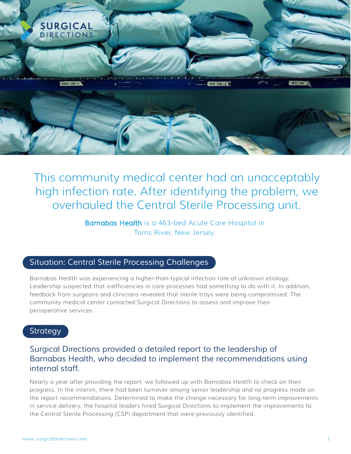

This community medical center had an unacceptably high infection rate. After identifying the problem, we overhauled the Central Sterile Processing unit.

> Barnabas Health is a 463-bed Acute Care Hospital in Toms River, New Jersey.

# *Situation: Central Sterile Processing Challenges*

Barnabas Health was experiencing a higher-than-typical infection rate of unknown etiology. Leadership suspected that inefficiencies in core processes had something to do with it. In addition, feedback from surgeons and clinicians revealed that sterile trays were being compromised. The community medical center contacted Surgical Directions to assess and improve their perioperative services.

## *Strategy*

## *Surgical Directions provided a detailed report to the leadership of Barnabas Health, who decided to implement the recommendations using internal staff.*

Nearly a year after providing the report, we followed up with Barnabas Health to check on their progress. In the interim, there had been turnover among senior leadership and no progress made on the report recommendations. Determined to make the change necessary for long-term improvements in service delivery, the hospital leaders hired Surgical Directions to implement the improvements to the Central Sterile Processing (CSP) department that were previously identified.